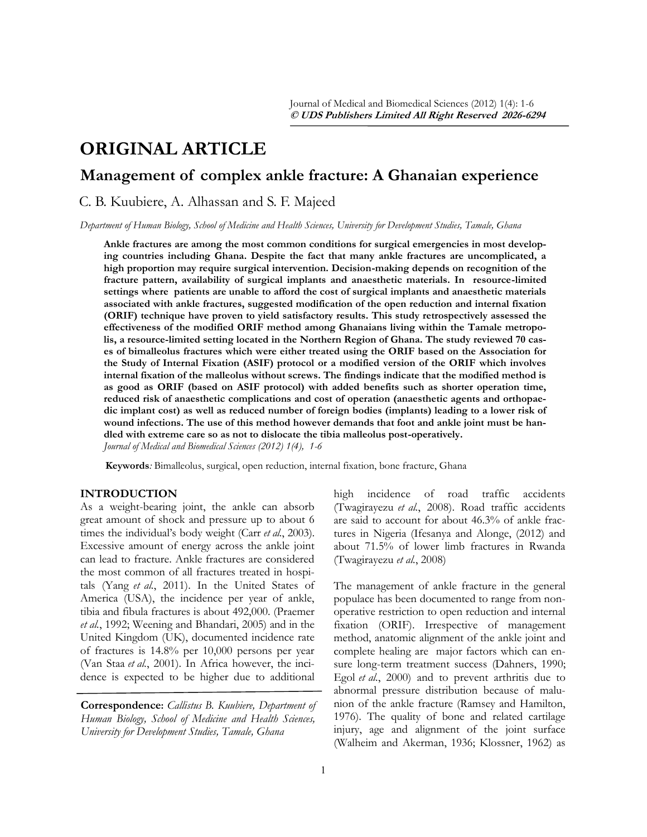# **ORIGINAL ARTICLE**

# **Management of complex ankle fracture: A Ghanaian experience**

C. B. Kuubiere, A. Alhassan and S. F. Majeed

*Department of Human Biology, School of Medicine and Health Sciences, University for Development Studies, Tamale, Ghana*

**Ankle fractures are among the most common conditions for surgical emergencies in most developing countries including Ghana. Despite the fact that many ankle fractures are uncomplicated, a high proportion may require surgical intervention. Decision-making depends on recognition of the fracture pattern, availability of surgical implants and anaesthetic materials. In resource-limited settings where patients are unable to afford the cost of surgical implants and anaesthetic materials associated with ankle fractures, suggested modification of the open reduction and internal fixation (ORIF) technique have proven to yield satisfactory results. This study retrospectively assessed the effectiveness of the modified ORIF method among Ghanaians living within the Tamale metropolis, a resource-limited setting located in the Northern Region of Ghana. The study reviewed 70 cases of bimalleolus fractures which were either treated using the ORIF based on the Association for the Study of Internal Fixation (ASIF) protocol or a modified version of the ORIF which involves internal fixation of the malleolus without screws. The findings indicate that the modified method is as good as ORIF (based on ASIF protocol) with added benefits such as shorter operation time, reduced risk of anaesthetic complications and cost of operation (anaesthetic agents and orthopaedic implant cost) as well as reduced number of foreign bodies (implants) leading to a lower risk of wound infections. The use of this method however demands that foot and ankle joint must be handled with extreme care so as not to dislocate the tibia malleolus post-operatively.** *Journal of Medical and Biomedical Sciences (2012) 1(4), 1-6*

**Keywords***:* Bimalleolus, surgical, open reduction, internal fixation, bone fracture, Ghana

# **INTRODUCTION**

As a weight-bearing joint, the ankle can absorb great amount of shock and pressure up to about 6 times the individual"s body weight (Carr *et al.*, 2003). Excessive amount of energy across the ankle joint can lead to fracture. Ankle fractures are considered the most common of all fractures treated in hospitals (Yang *et al.*[, 2011\)](file:///C:/Users/Dr.%20Amidu/Desktop/galley/Introduction%20(2)-%20ABASS.docx#_ENREF_19#_ENREF_19). In the United States of America (USA), the incidence per year of ankle, tibia and fibula fractures is about 492,000. (Praemer *et al.*, 1992; Weening and Bhandari, 2005) and in the United Kingdom (UK), documented incidence rate of fractures is 14.8% per 10,000 persons per year (Van Staa *et al.*, 2001). In Africa however, the incidence is expected to be higher due to additional

**Correspondence:** *Callistus B. Kuubiere, Department of Human Biology, School of Medicine and Health Sciences, University for Development Studies, Tamale, Ghana*

high incidence of road traffic accidents [\(Twagirayezu](file:///C:/Users/Dr.%20Amidu/Desktop/galley/Introduction%20(2)-%20ABASS.docx#_ENREF_14#_ENREF_14) *et al.*, 2008). Road traffic accidents are said to account for about 46.3% of ankle fractures in Nigeria (Ifesanya and Alonge, (2012) and about 71.5% of lower limb fractures in Rwanda (Twagirayezu *et al.*, 2008)

The management of ankle fracture in the general populace has been documented to range from nonoperative restriction to open reduction and internal fixation (ORIF). Irrespective of management method, anatomic alignment of the ankle joint and complete healing are major factors which can ensure long-term treatment success (Dahners, 1990; Egol *et al.*, 2000) and to prevent arthritis due to abnormal pressure distribution because of malunion of the ankle fracture (Ramsey and Hamilton, 1976). The quality of bone and related cartilage injury, age and alignment of the joint surface (Walheim and Akerman, 1936; Klossner, 1962) as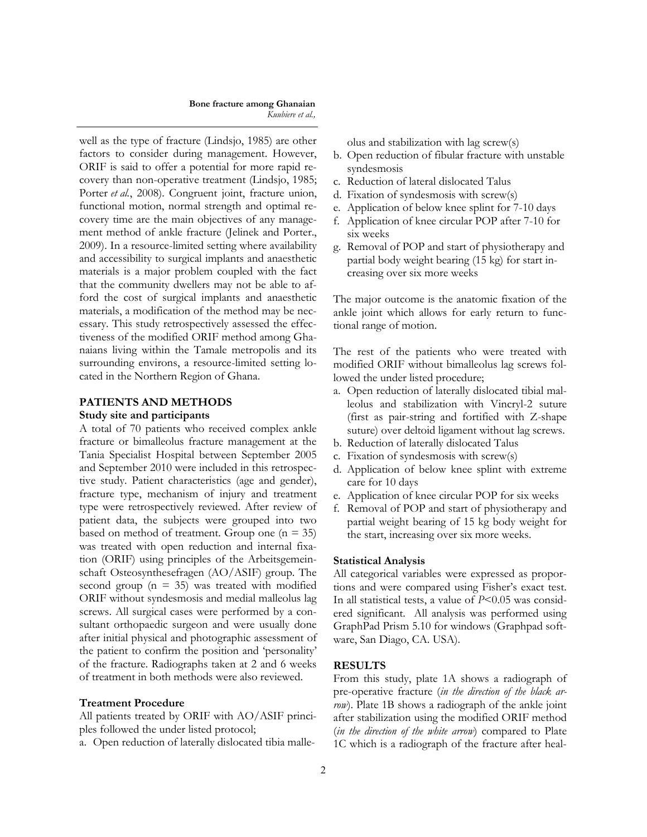#### **Bone fracture among Ghanaian** *Kuubiere et al.,*

well as the type of fracture (Lindsjo, 1985) are other factors to consider during management. However, ORIF is said to offer a potential for more rapid recovery than non-operative treatment (Lindsjo, 1985; Porter *et al.*, 2008). Congruent joint, fracture union, functional motion, normal strength and optimal recovery time are the main objectives of any management method of ankle fracture (Jelinek and Porter., 2009). In a resource-limited setting where availability and accessibility to surgical implants and anaesthetic materials is a major problem coupled with the fact that the community dwellers may not be able to afford the cost of surgical implants and anaesthetic materials, a modification of the method may be necessary. This study retrospectively assessed the effectiveness of the modified ORIF method among Ghanaians living within the Tamale metropolis and its surrounding environs, a resource-limited setting located in the Northern Region of Ghana.

# **PATIENTS AND METHODS**

# **Study site and participants**

A total of 70 patients who received complex ankle fracture or bimalleolus fracture management at the Tania Specialist Hospital between September 2005 and September 2010 were included in this retrospective study. Patient characteristics (age and gender), fracture type, mechanism of injury and treatment type were retrospectively reviewed. After review of patient data, the subjects were grouped into two based on method of treatment. Group one  $(n = 35)$ was treated with open reduction and internal fixation (ORIF) using principles of the Arbeitsgemeinschaft Osteosynthesefragen (AO/ASIF) group. The second group ( $n = 35$ ) was treated with modified ORIF without syndesmosis and medial malleolus lag screws. All surgical cases were performed by a consultant orthopaedic surgeon and were usually done after initial physical and photographic assessment of the patient to confirm the position and "personality" of the fracture. Radiographs taken at 2 and 6 weeks of treatment in both methods were also reviewed.

#### **Treatment Procedure**

All patients treated by ORIF with AO/ASIF principles followed the under listed protocol;

a. Open reduction of laterally dislocated tibia malle-

olus and stabilization with lag screw(s)

- b. Open reduction of fibular fracture with unstable syndesmosis
- c. Reduction of lateral dislocated Talus
- d. Fixation of syndesmosis with screw(s)
- e. Application of below knee splint for 7-10 days
- f. Application of knee circular POP after 7-10 for six weeks
- g. Removal of POP and start of physiotherapy and partial body weight bearing (15 kg) for start increasing over six more weeks

The major outcome is the anatomic fixation of the ankle joint which allows for early return to functional range of motion.

The rest of the patients who were treated with modified ORIF without bimalleolus lag screws followed the under listed procedure;

- a. Open reduction of laterally dislocated tibial malleolus and stabilization with Vincryl-2 suture (first as pair-string and fortified with Z-shape suture) over deltoid ligament without lag screws.
- b. Reduction of laterally dislocated Talus
- c. Fixation of syndesmosis with screw(s)
- d. Application of below knee splint with extreme care for 10 days
- e. Application of knee circular POP for six weeks
- f. Removal of POP and start of physiotherapy and partial weight bearing of 15 kg body weight for the start, increasing over six more weeks.

#### **Statistical Analysis**

All categorical variables were expressed as proportions and were compared using Fisher's exact test. In all statistical tests, a value of *P*<0.05 was considered significant. All analysis was performed using GraphPad Prism 5.10 for windows (Graphpad software, San Diago, CA. USA).

# **RESULTS**

From this study, plate 1A shows a radiograph of pre-operative fracture (*in the direction of the black arrow*). Plate 1B shows a radiograph of the ankle joint after stabilization using the modified ORIF method (*in the direction of the white arrow*) compared to Plate 1C which is a radiograph of the fracture after heal-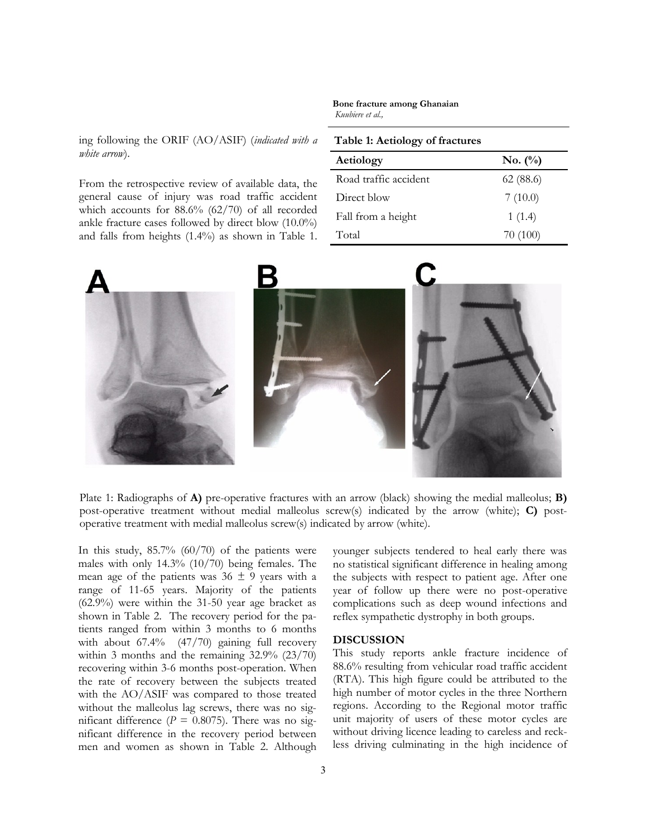# ing following the ORIF (AO/ASIF) (*indicated with a white arrow*).

From the retrospective review of available data, the general cause of injury was road traffic accident which accounts for 88.6% (62/70) of all recorded ankle fracture cases followed by direct blow (10.0%) and falls from heights (1.4%) as shown in Table 1.

#### **Bone fracture among Ghanaian** *Kuubiere et al.,*

## **Table 1: Aetiology of fractures**

| Aetiology             | $\mathbf{No.}$ (%) |
|-----------------------|--------------------|
| Road traffic accident | 62(88.6)           |
| Direct blow           | 7(10.0)            |
| Fall from a height    | 1(1.4)             |
| Total                 | 70 (100)           |



Plate 1: Radiographs of **A)** pre-operative fractures with an arrow (black) showing the medial malleolus; **B)** post-operative treatment without medial malleolus screw(s) indicated by the arrow (white); **C)** postoperative treatment with medial malleolus screw(s) indicated by arrow (white).

In this study,  $85.7\%$  (60/70) of the patients were males with only 14.3% (10/70) being females. The mean age of the patients was  $36 \pm 9$  years with a range of 11-65 years. Majority of the patients (62.9%) were within the 31-50 year age bracket as shown in Table 2. The recovery period for the patients ranged from within 3 months to 6 months with about 67.4% (47/70) gaining full recovery within 3 months and the remaining 32.9% (23/70) recovering within 3-6 months post-operation. When the rate of recovery between the subjects treated with the AO/ASIF was compared to those treated without the malleolus lag screws, there was no significant difference ( $P = 0.8075$ ). There was no significant difference in the recovery period between men and women as shown in Table 2. Although

younger subjects tendered to heal early there was no statistical significant difference in healing among the subjects with respect to patient age. After one year of follow up there were no post-operative complications such as deep wound infections and reflex sympathetic dystrophy in both groups.

# **DISCUSSION**

This study reports ankle fracture incidence of 88.6% resulting from vehicular road traffic accident (RTA). This high figure could be attributed to the high number of motor cycles in the three Northern regions. According to the Regional motor traffic unit majority of users of these motor cycles are without driving licence leading to careless and reckless driving culminating in the high incidence of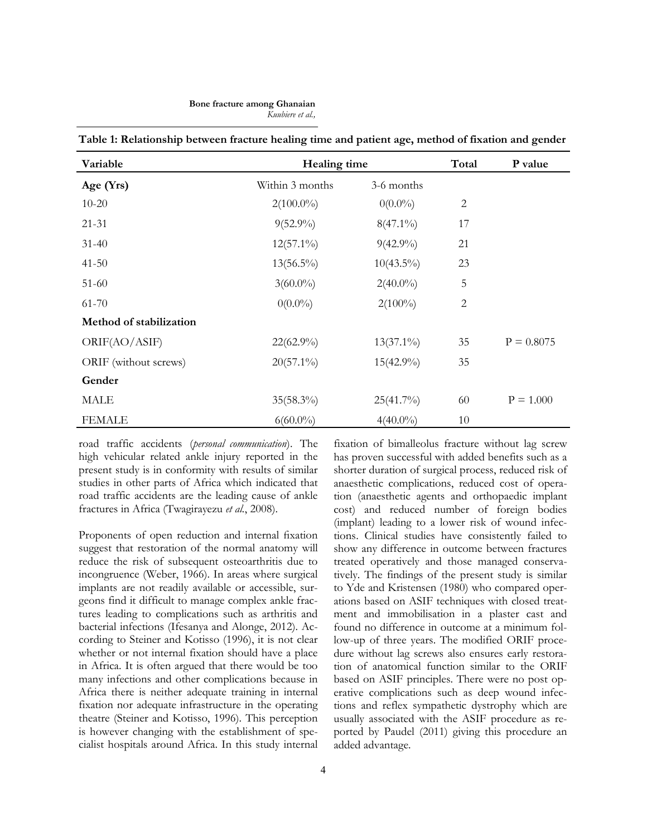| Variable                | Healing time    |              | Total      | P value      |
|-------------------------|-----------------|--------------|------------|--------------|
| Age $(Yrs)$             | Within 3 months | 3-6 months   |            |              |
| $10 - 20$               | $2(100.0\%)$    | $0(0.0\%)$   | 2          |              |
| $21 - 31$               | $9(52.9\%)$     | $8(47.1\%)$  | 17         |              |
| $31-40$                 | $12(57.1\%)$    | $9(42.9\%)$  | 21         |              |
| $41 - 50$               | $13(56.5\%)$    | $10(43.5\%)$ | 23         |              |
| $51-60$                 | $3(60.0\%)$     | $2(40.0\%)$  | 5          |              |
| 61-70                   | $0(0.0\%)$      | $2(100\%)$   | $\sqrt{2}$ |              |
| Method of stabilization |                 |              |            |              |
| ORIF(AO/ASIF)           | $22(62.9\%)$    | $13(37.1\%)$ | 35         | $P = 0.8075$ |
| ORIF (without screws)   | $20(57.1\%)$    | $15(42.9\%)$ | 35         |              |
| Gender                  |                 |              |            |              |
| <b>MALE</b>             | $35(58.3\%)$    | $25(41.7\%)$ | 60         | $P = 1.000$  |
| <b>FEMALE</b>           | $6(60.0\%)$     | $4(40.0\%)$  | 10         |              |

**Table 1: Relationship between fracture healing time and patient age, method of fixation and gender** 

road traffic accidents (*personal communication*). The high vehicular related ankle injury reported in the present study is in conformity with results of similar studies in other parts of Africa which indicated that road traffic accidents are the leading cause of ankle fractures in Africa (Twagirayezu *et al.*, 2008).

Proponents of open reduction and internal fixation suggest that restoration of the normal anatomy will reduce the risk of subsequent osteoarthritis due to incongruence [\(Weber, 1966\)](file:///C:/Users/Dr.%20Amidu/Desktop/galley/Introduction%20(2)-%20ABASS.docx#_ENREF_17#_ENREF_17). In areas where surgical implants are not readily available or accessible, surgeons find it difficult to manage complex ankle fractures leading to complications such as arthritis and bacterial infections (Ifesanya and Alonge, 2012). According to Steiner and Kotisso (1996), it is not clear whether or not internal fixation should have a place in Africa. It is often argued that there would be too many infections and other complications because in Africa there is neither adequate training in internal fixation nor adequate infrastructure in the operating theatre (Steiner and Kotisso, 1996). This perception is however changing with the establishment of specialist hospitals around Africa. In this study internal

fixation of bimalleolus fracture without lag screw has proven successful with added benefits such as a shorter duration of surgical process, reduced risk of anaesthetic complications, reduced cost of operation (anaesthetic agents and orthopaedic implant cost) and reduced number of foreign bodies (implant) leading to a lower risk of wound infections. Clinical studies have consistently failed to show any difference in outcome between fractures treated operatively and those managed conservatively. The findings of the present study is similar to Yde and Kristensen ([1980\)](file:///C:/Users/Dr.%20Amidu/Desktop/galley/Introduction%20(2)-%20ABASS.docx#_ENREF_20#_ENREF_20) who compared operations based on ASIF techniques with closed treatment and immobilisation in a plaster cast and found no difference in outcome at a minimum follow-up of three years. The modified ORIF procedure without lag screws also ensures early restoration of anatomical function similar to the ORIF based on ASIF principles. There were no post operative complications such as deep wound infections and reflex sympathetic dystrophy which are usually associated with the ASIF procedure as reported by Paudel [\(2011\)](file:///C:/Users/Dr.%20Amidu/Desktop/galley/Introduction%20(2)-%20ABASS.docx#_ENREF_7#_ENREF_7) giving this procedure an added advantage.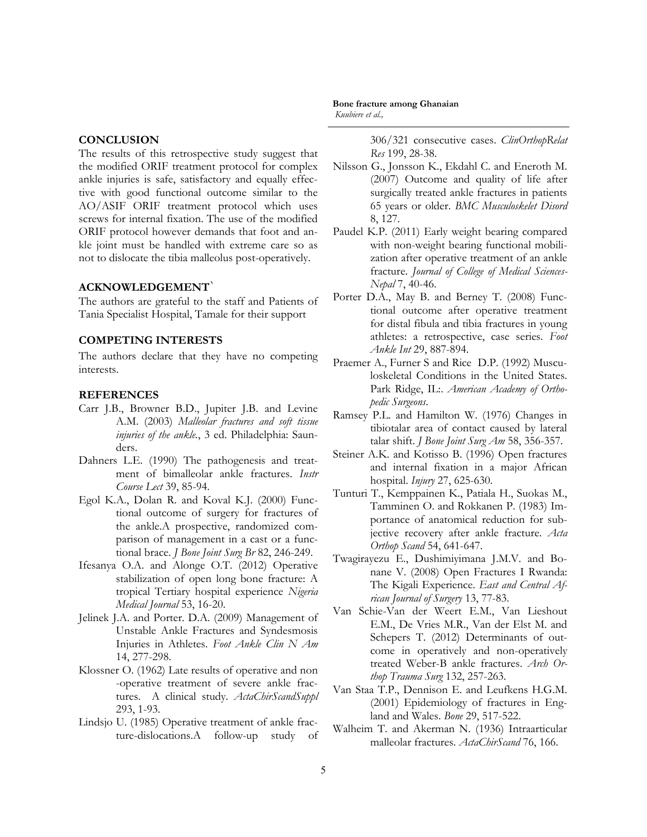# **CONCLUSION**

The results of this retrospective study suggest that the modified ORIF treatment protocol for complex ankle injuries is safe, satisfactory and equally effective with good functional outcome similar to the AO/ASIF ORIF treatment protocol which uses screws for internal fixation. The use of the modified ORIF protocol however demands that foot and ankle joint must be handled with extreme care so as not to dislocate the tibia malleolus post-operatively.

# **ACKNOWLEDGEMENT**`

The authors are grateful to the staff and Patients of Tania Specialist Hospital, Tamale for their support

### **COMPETING INTERESTS**

The authors declare that they have no competing interests.

### **REFERENCES**

- Carr J.B., Browner B.D., Jupiter J.B. and Levine A.M. (2003) *Malleolar fractures and soft tissue injuries of the ankle.*, 3 ed. Philadelphia: Saunders.
- Dahners L.E. (1990) The pathogenesis and treatment of bimalleolar ankle fractures. *Instr Course Lect* 39, 85-94.
- Egol K.A., Dolan R. and Koval K.J. (2000) Functional outcome of surgery for fractures of the ankle.A prospective, randomized comparison of management in a cast or a functional brace. *J Bone Joint Surg Br* 82, 246-249.
- Ifesanya O.A. and Alonge O.T. (2012) Operative stabilization of open long bone fracture: A tropical Tertiary hospital experience *Nigeria Medical Journal* 53, 16-20.
- Jelinek J.A. and Porter. D.A. (2009) Management of Unstable Ankle Fractures and Syndesmosis Injuries in Athletes. *Foot Ankle Clin N Am* 14, 277-298.
- Klossner O. (1962) Late results of operative and non -operative treatment of severe ankle fractures. A clinical study. *ActaChirScandSuppl* 293, 1-93.
- Lindsjo U. (1985) Operative treatment of ankle fracture-dislocations.A follow-up study of

#### **Bone fracture among Ghanaian** *Kuubiere et al.,*

306/321 consecutive cases. *ClinOrthopRelat Res* 199, 28-38.

- Nilsson G., Jonsson K., Ekdahl C. and Eneroth M. (2007) Outcome and quality of life after surgically treated ankle fractures in patients 65 years or older. *BMC Musculoskelet Disord* 8, 127.
- Paudel K.P. (2011) Early weight bearing compared with non-weight bearing functional mobilization after operative treatment of an ankle fracture. *Journal of College of Medical Sciences-Nepal* 7, 40-46.
- Porter D.A., May B. and Berney T. (2008) Functional outcome after operative treatment for distal fibula and tibia fractures in young athletes: a retrospective, case series. *Foot Ankle Int* 29, 887-894.
- Praemer A., Furner S and Rice D.P. (1992) Musculoskeletal Conditions in the United States. Park Ridge, IL:. *American Academy of Orthopedic Surgeons*.
- Ramsey P.L. and Hamilton W. (1976) Changes in tibiotalar area of contact caused by lateral talar shift. *J Bone Joint Surg Am* 58, 356-357.
- Steiner A.K. and Kotisso B. (1996) Open fractures and internal fixation in a major African hospital. *Injury* 27, 625-630.
- Tunturi T., Kemppainen K., Patiala H., Suokas M., Tamminen O. and Rokkanen P. (1983) Importance of anatomical reduction for subjective recovery after ankle fracture. *Acta Orthop Scand* 54, 641-647.
- Twagirayezu E., Dushimiyimana J.M.V. and Bonane V. (2008) Open Fractures I Rwanda: The Kigali Experience. *East and Central African Journal of Surgery* 13, 77-83.
- Van Schie-Van der Weert E.M., Van Lieshout E.M., De Vries M.R., Van der Elst M. and Schepers T. (2012) Determinants of outcome in operatively and non-operatively treated Weber-B ankle fractures. *Arch Orthop Trauma Surg* 132, 257-263.
- Van Staa T.P., Dennison E. and Leufkens H.G.M. (2001) Epidemiology of fractures in England and Wales. *Bone* 29, 517-522.
- Walheim T. and Akerman N. (1936) Intraarticular malleolar fractures. *ActaChirScand* 76, 166.